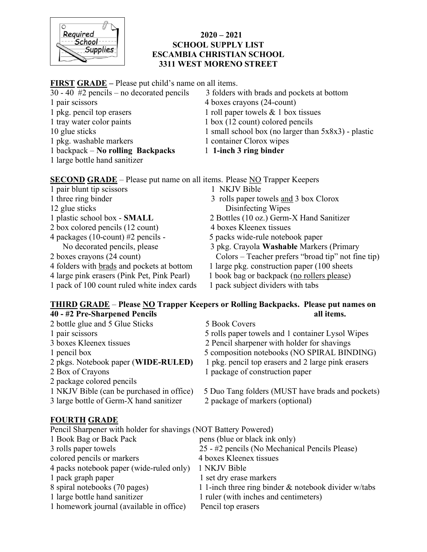

#### $2020 - 2021$ SCHOOL SUPPLY LIST ESCAMBIA CHRISTIAN SCHOOL 3311 WEST MORENO STREET

### FIRST GRADE – Please put child's name on all items.

| $30 - 40$ #2 pencils – no decorated pencils | 3 folders with brads and pockets at bottom             |
|---------------------------------------------|--------------------------------------------------------|
| 1 pair scissors                             | 4 boxes crayons (24-count)                             |
| 1 pkg. pencil top erasers                   | 1 roll paper towels $& 1$ box tissues                  |
| 1 tray water color paints                   | 1 box (12 count) colored pencils                       |
| 10 glue sticks                              | 1 small school box (no larger than $5x8x3$ ) - plastic |
| 1 pkg. washable markers                     | 1 container Clorox wipes                               |
| $1$ backpack – No rolling Backpacks         | 1 1-inch 3 ring binder                                 |
| 1 large bottle hand sanitizer               |                                                        |

SECOND GRADE – Please put name on all items. Please NO Trapper Keepers

- 1 pair blunt tip scissors 1 NKJV Bible
- 
- 
- 
- 2 box colored pencils (12 count) 4 boxes Kleenex tissues
- 4 packages (10-count) #2 pencils 5 packs wide-rule notebook paper<br>No decorated pencils, please 3 pkg. Crayola Washable Marker
- 
- 
- 
- 1 pack of 100 count ruled white index cards 1 pack subject dividers with tabs
- 
- 1 three ring binder 3 rolls paper towels and 3 box Clorox 12 glue sticks Disinfecting Wipes
- 1 plastic school box SMALL 2 Bottles (10 oz.) Germ-X Hand Sanitizer
	-
	-
	- 3 pkg. Crayola Washable Markers (Primary
- 2 boxes crayons (24 count) Colors Teacher prefers "broad tip" not fine tip)
- 4 folders with <u>brads</u> and pockets at bottom 1 large pkg. construction paper (100 sheets 4 large pink erasers (Pink Pet, Pink Pearl) 1 book bag or backpack (no rollers please)
	- 1 book bag or backpack (no rollers please)
	-

### THIRD GRADE - Please NO Trapper Keepers or Rolling Backpacks. Please put names on 40 - #2 Pre-Sharpened Pencils all items.

- 2 bottle glue and 5 Glue Sticks 5 Book Covers 3 boxes Kleenex tissues 2 Pencil sharpener with holder for shavings 2 pkgs. Notebook paper (WIDE-RULED) 1 pkg. pencil top erasers and 2 large pink erasers 2 Box of Crayons 1 package of construction paper 2 package colored pencils
- 3 large bottle of Germ-X hand sanitizer 2 package of markers (optional)

# FOURTH GRADE

- 
- 1 pair scissors 5 rolls paper towels and 1 container Lysol Wipes
	-
- 1 pencil box 5 composition notebooks (NO SPIRAL BINDING)
	-
	- 1 package of construction paper
- 1 NKJV Bible (can be purchased in office) 5 Duo Tang folders (MUST have brads and pockets)

| Pencil Sharpener with holder for shavings (NOT Battery Powered) |                                                      |  |
|-----------------------------------------------------------------|------------------------------------------------------|--|
| 1 Book Bag or Back Pack                                         | pens (blue or black ink only)                        |  |
| 3 rolls paper towels                                            | 25 - #2 pencils (No Mechanical Pencils Please)       |  |
| colored pencils or markers                                      | 4 boxes Kleenex tissues                              |  |
| 4 packs notebook paper (wide-ruled only)                        | 1 NKJV Bible                                         |  |
| 1 pack graph paper                                              | 1 set dry erase markers                              |  |
| 8 spiral notebooks (70 pages)                                   | 1 1-inch three ring binder & notebook divider w/tabs |  |
| 1 large bottle hand sanitizer                                   | 1 ruler (with inches and centimeters)                |  |
| 1 homework journal (available in office)                        | Pencil top erasers                                   |  |
|                                                                 |                                                      |  |